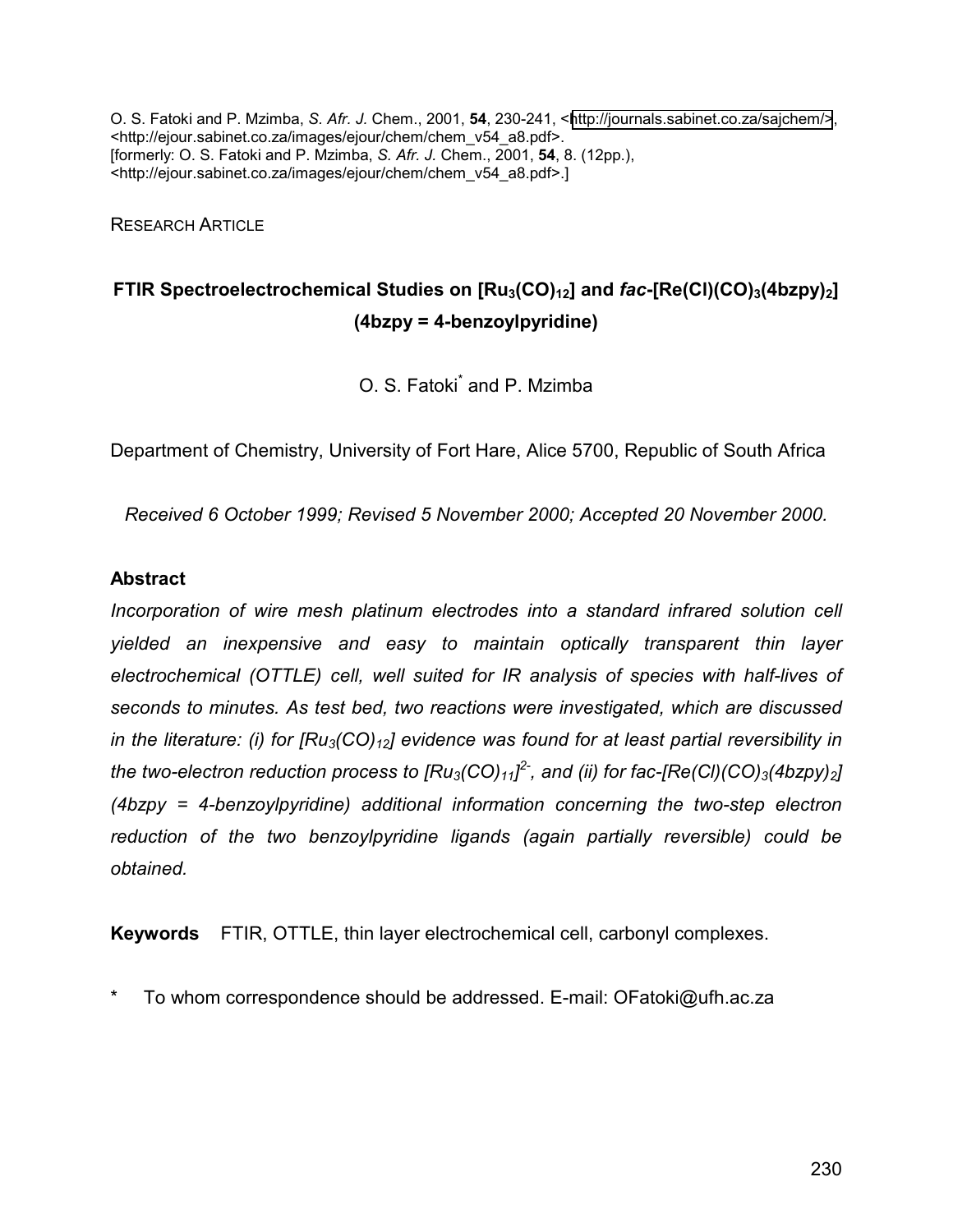O. S. Fatoki and P. Mzimba, *S. Afr. J.* Chem., 2001, **54**, 230-241, <[http://journals.sabinet.co.za/sajchem/>](http://journals.sabinet.co/sajchem), <http://ejour.sabinet.co.za/images/ejour/chem/chem\_v54\_a8.pdf>. [formerly: O. S. Fatoki and P. Mzimba, *S. Afr. J.* Chem., 2001, **54**, 8. (12pp.), <http://ejour.sabinet.co.za/images/ejour/chem/chem\_v54\_a8.pdf>.]

RESEARCH ARTICLE

# **FTIR Spectroelectrochemical Studies on [Ru<sub>3</sub>(CO)<sub>12</sub>] and** *fac***-[Re(CI)(CO)<sub>3</sub>(4bzpy)<sub>2</sub>] (4bzpy = 4-benzoylpyridine)**

O. S. Fatoki<sup>\*</sup> and P. Mzimba

Department of Chemistry, University of Fort Hare, Alice 5700, Republic of South Africa

*Received 6 October 1999; Revised 5 November 2000; Accepted 20 November 2000.* 

## **Abstract**

*Incorporation of wire mesh platinum electrodes into a standard infrared solution cell yielded an inexpensive and easy to maintain optically transparent thin layer electrochemical (OTTLE) cell, well suited for IR analysis of species with half-lives of seconds to minutes. As test bed, two reactions were investigated, which are discussed in the literature: (i) for*  $[Ru_3(CO)_{12}]$  *evidence was found for at least partial reversibility in the two-electron reduction process to [Ru3(CO)11] 2-, and (ii) for fac-[Re(Cl)(CO)3(4bzpy)2] (4bzpy = 4-benzoylpyridine) additional information concerning the two-step electron reduction of the two benzoylpyridine ligands (again partially reversible) could be obtained.* 

**Keywords** FTIR, OTTLE, thin layer electrochemical cell, carbonyl complexes.

To whom correspondence should be addressed. E-mail: OFatoki@ufh.ac.za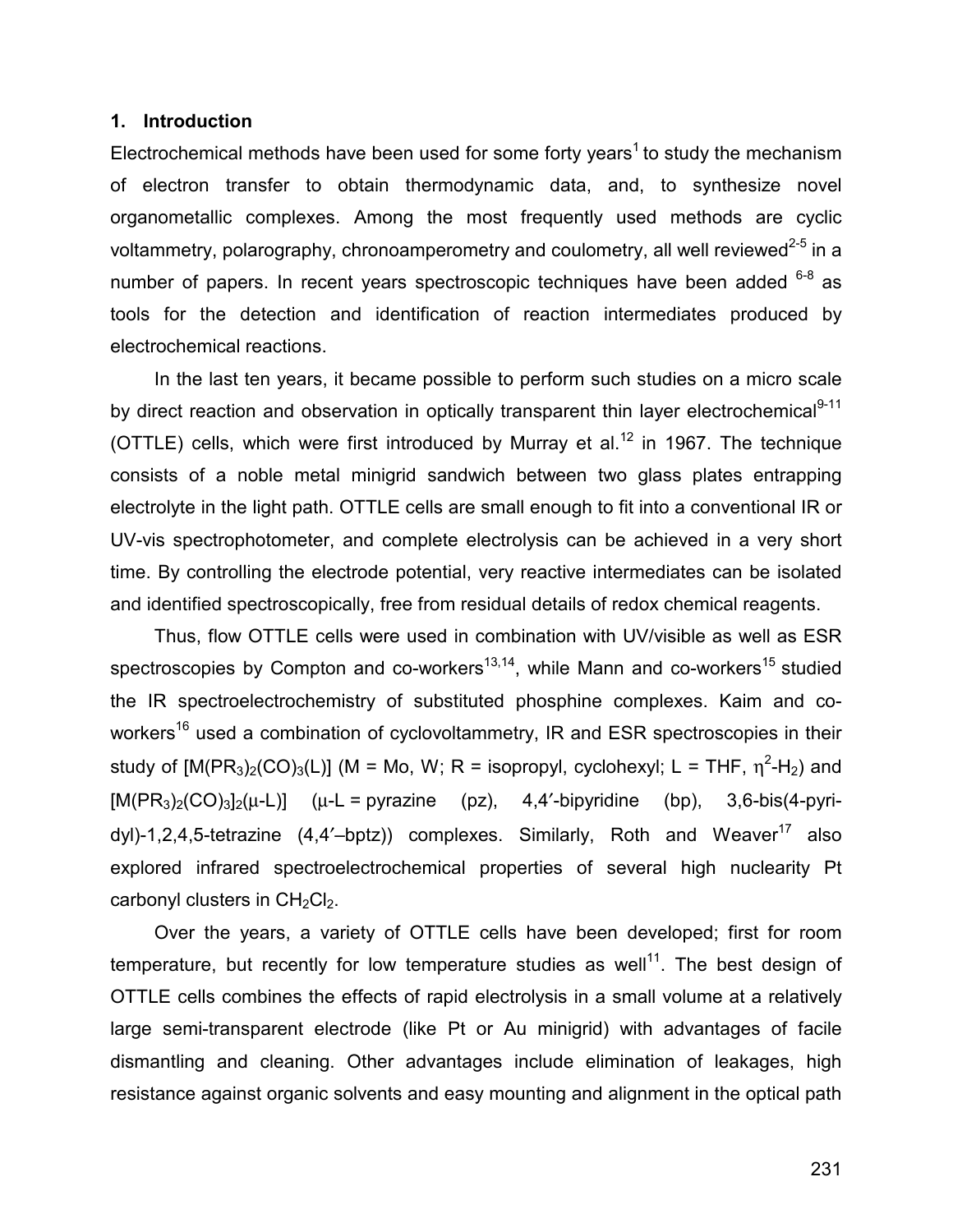#### **1. Introduction**

Electrochemical methods have been used for some forty years<sup>1</sup> to study the mechanism of electron transfer to obtain thermodynamic data, and, to synthesize novel organometallic complexes. Among the most frequently used methods are cyclic voltammetry, polarography, chronoamperometry and coulometry, all well reviewed<sup>2-5</sup> in a number of papers. In recent years spectroscopic techniques have been added  $6-8$  as tools for the detection and identification of reaction intermediates produced by electrochemical reactions.

In the last ten years, it became possible to perform such studies on a micro scale by direct reaction and observation in optically transparent thin layer electrochemical<sup>9-11</sup> (OTTLE) cells, which were first introduced by Murray et al.<sup>12</sup> in 1967. The technique consists of a noble metal minigrid sandwich between two glass plates entrapping electrolyte in the light path. OTTLE cells are small enough to fit into a conventional IR or UV-vis spectrophotometer, and complete electrolysis can be achieved in a very short time. By controlling the electrode potential, very reactive intermediates can be isolated and identified spectroscopically, free from residual details of redox chemical reagents.

Thus, flow OTTLE cells were used in combination with UV/visible as well as ESR spectroscopies by Compton and co-workers $^{13,14}$ , while Mann and co-workers $^{15}$  studied the IR spectroelectrochemistry of substituted phosphine complexes. Kaim and coworkers<sup>16</sup> used a combination of cyclovoltammetry, IR and ESR spectroscopies in their study of  $[M(PR_3)_2(CO)_3(L)]$  (M = Mo, W; R = isopropyl, cyclohexyl; L = THF,  $\eta^2$ -H<sub>2</sub>) and  $[M(PR<sub>3</sub>)<sub>2</sub>(CO)<sub>3</sub>]<sub>2</sub>(µ-L)]$  ( $µ-L = pyrazine$  (pz), 4,4'-bipyridine (bp), 3,6-bis(4-pyridyl)-1,2,4,5-tetrazine  $(4,4'-bptz)$  complexes. Similarly, Roth and Weaver<sup>17</sup> also explored infrared spectroelectrochemical properties of several high nuclearity Pt carbonyl clusters in  $CH<sub>2</sub>Cl<sub>2</sub>$ .

Over the years, a variety of OTTLE cells have been developed; first for room temperature, but recently for low temperature studies as well<sup>11</sup>. The best design of OTTLE cells combines the effects of rapid electrolysis in a small volume at a relatively large semi-transparent electrode (like Pt or Au minigrid) with advantages of facile dismantling and cleaning. Other advantages include elimination of leakages, high resistance against organic solvents and easy mounting and alignment in the optical path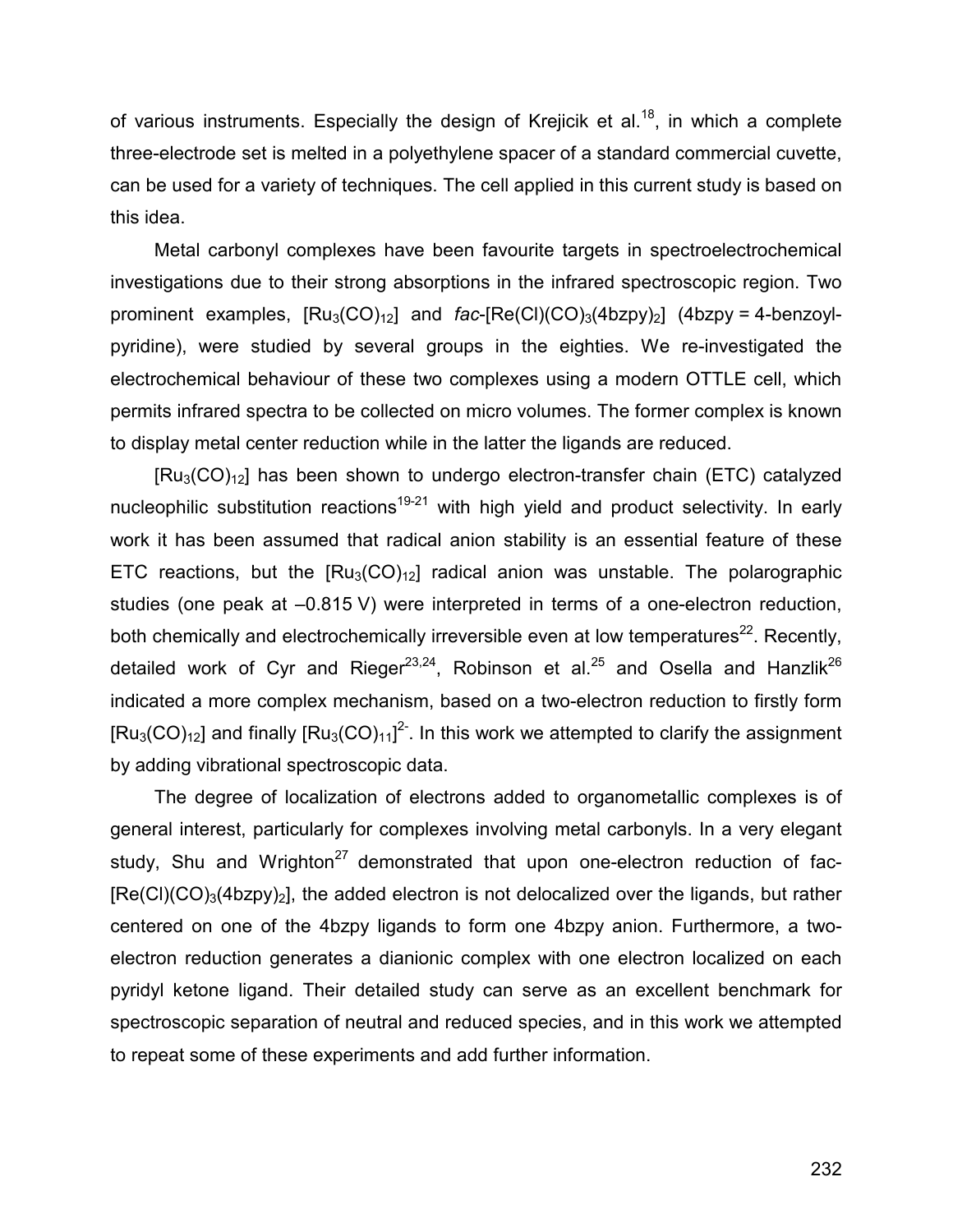of various instruments. Especially the design of Krejicik et al.<sup>18</sup>, in which a complete three-electrode set is melted in a polyethylene spacer of a standard commercial cuvette, can be used for a variety of techniques. The cell applied in this current study is based on this idea.

Metal carbonyl complexes have been favourite targets in spectroelectrochemical investigations due to their strong absorptions in the infrared spectroscopic region. Two prominent examples,  $[Ru_3(CO)_{12}]$  and  $fac-[Re(Cl)(CO)_3(4bzpy)_2]$  (4bzpy = 4-benzoylpyridine), were studied by several groups in the eighties. We re-investigated the electrochemical behaviour of these two complexes using a modern OTTLE cell, which permits infrared spectra to be collected on micro volumes. The former complex is known to display metal center reduction while in the latter the ligands are reduced.

 $[Ru<sub>3</sub>(CO)<sub>12</sub>]$  has been shown to undergo electron-transfer chain (ETC) catalyzed nucleophilic substitution reactions<sup>19-21</sup> with high yield and product selectivity. In early work it has been assumed that radical anion stability is an essential feature of these ETC reactions, but the  $[Ru_3(CO)<sub>12</sub>]$  radical anion was unstable. The polarographic studies (one peak at –0.815 V) were interpreted in terms of a one-electron reduction, both chemically and electrochemically irreversible even at low temperatures<sup>22</sup>. Recently, detailed work of Cyr and Rieger<sup>23,24</sup>, Robinson et al.<sup>25</sup> and Osella and Hanzlik<sup>26</sup> indicated a more complex mechanism, based on a two-electron reduction to firstly form  $[Ru_3(CO)_{12}]$  and finally  $[Ru_3(CO)_{11}]^{2}$ . In this work we attempted to clarify the assignment by adding vibrational spectroscopic data.

The degree of localization of electrons added to organometallic complexes is of general interest, particularly for complexes involving metal carbonyls. In a very elegant study, Shu and Wrighton<sup>27</sup> demonstrated that upon one-electron reduction of fac- $[Re(Cl)(CO)<sub>3</sub>(4bzpy)<sub>2</sub>]$ , the added electron is not delocalized over the ligands, but rather centered on one of the 4bzpy ligands to form one 4bzpy anion. Furthermore, a twoelectron reduction generates a dianionic complex with one electron localized on each pyridyl ketone ligand. Their detailed study can serve as an excellent benchmark for spectroscopic separation of neutral and reduced species, and in this work we attempted to repeat some of these experiments and add further information.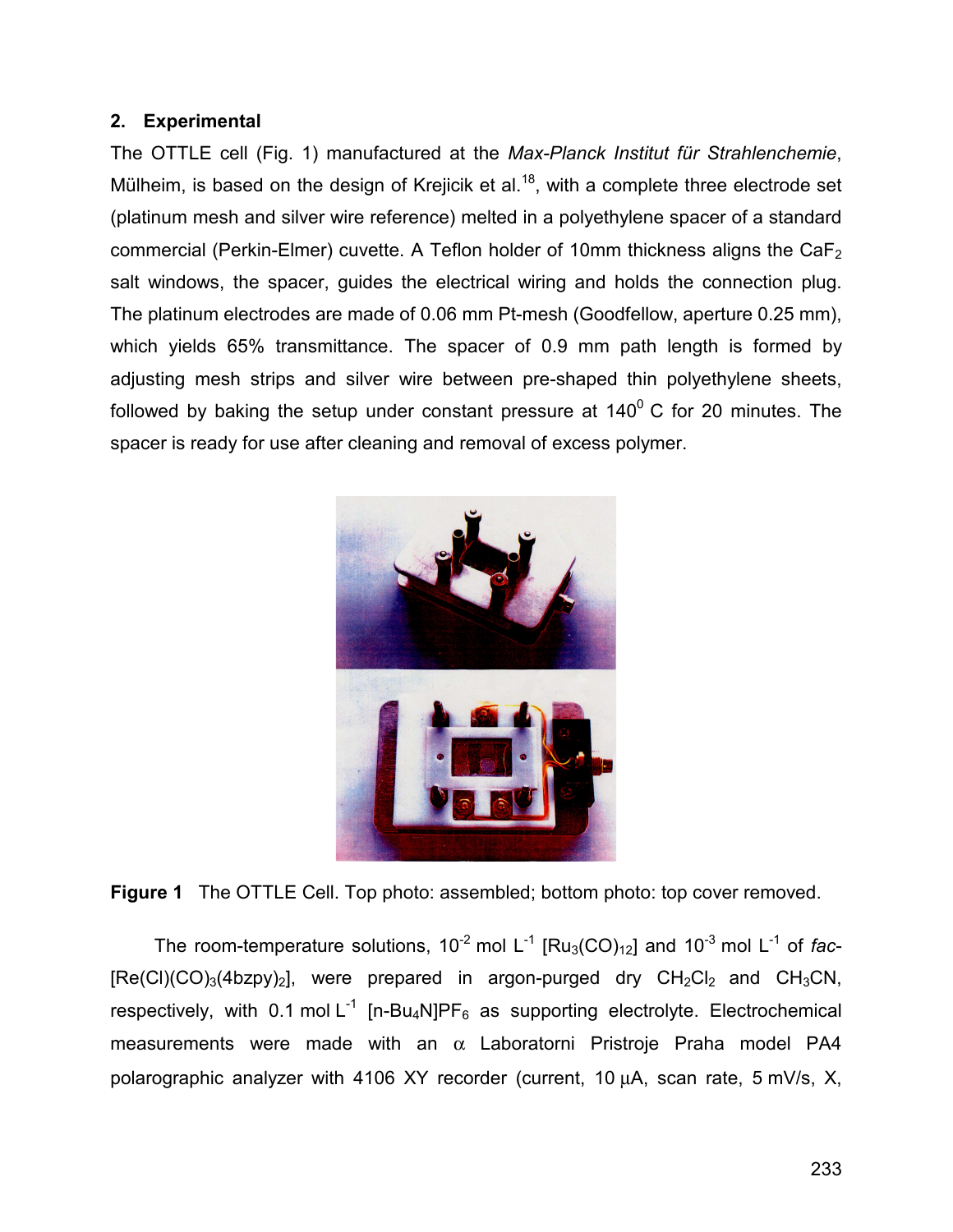# **2. Experimental**

The OTTLE cell (Fig. 1) manufactured at the *Max-Planck Institut für Strahlenchemie*, Mülheim, is based on the design of Krejicik et al.<sup>18</sup>, with a complete three electrode set (platinum mesh and silver wire reference) melted in a polyethylene spacer of a standard commercial (Perkin-Elmer) cuvette. A Teflon holder of 10mm thickness aligns the  $CaF<sub>2</sub>$ salt windows, the spacer, guides the electrical wiring and holds the connection plug. The platinum electrodes are made of 0.06 mm Pt-mesh (Goodfellow, aperture 0.25 mm), which yields 65% transmittance. The spacer of 0.9 mm path length is formed by adjusting mesh strips and silver wire between pre-shaped thin polyethylene sheets, followed by baking the setup under constant pressure at  $140^0$  C for 20 minutes. The spacer is ready for use after cleaning and removal of excess polymer.



**Figure 1** The OTTLE Cell. Top photo: assembled; bottom photo: top cover removed.

The room-temperature solutions,  $10^{-2}$  mol L<sup>-1</sup> [Ru<sub>3</sub>(CO)<sub>12</sub>] and  $10^{-3}$  mol L<sup>-1</sup> of *fac*- $[Re(Cl)(CO)<sub>3</sub>(4bzpy)<sub>2</sub>]$ , were prepared in argon-purged dry  $CH<sub>2</sub>Cl<sub>2</sub>$  and  $CH<sub>3</sub>CN$ , respectively, with 0.1 mol  $L^{-1}$  [n-Bu<sub>4</sub>N]PF<sub>6</sub> as supporting electrolyte. Electrochemical measurements were made with an  $\alpha$  Laboratorni Pristroje Praha model PA4 polarographic analyzer with 4106 XY recorder (current, 10 µA, scan rate, 5 mV/s, X,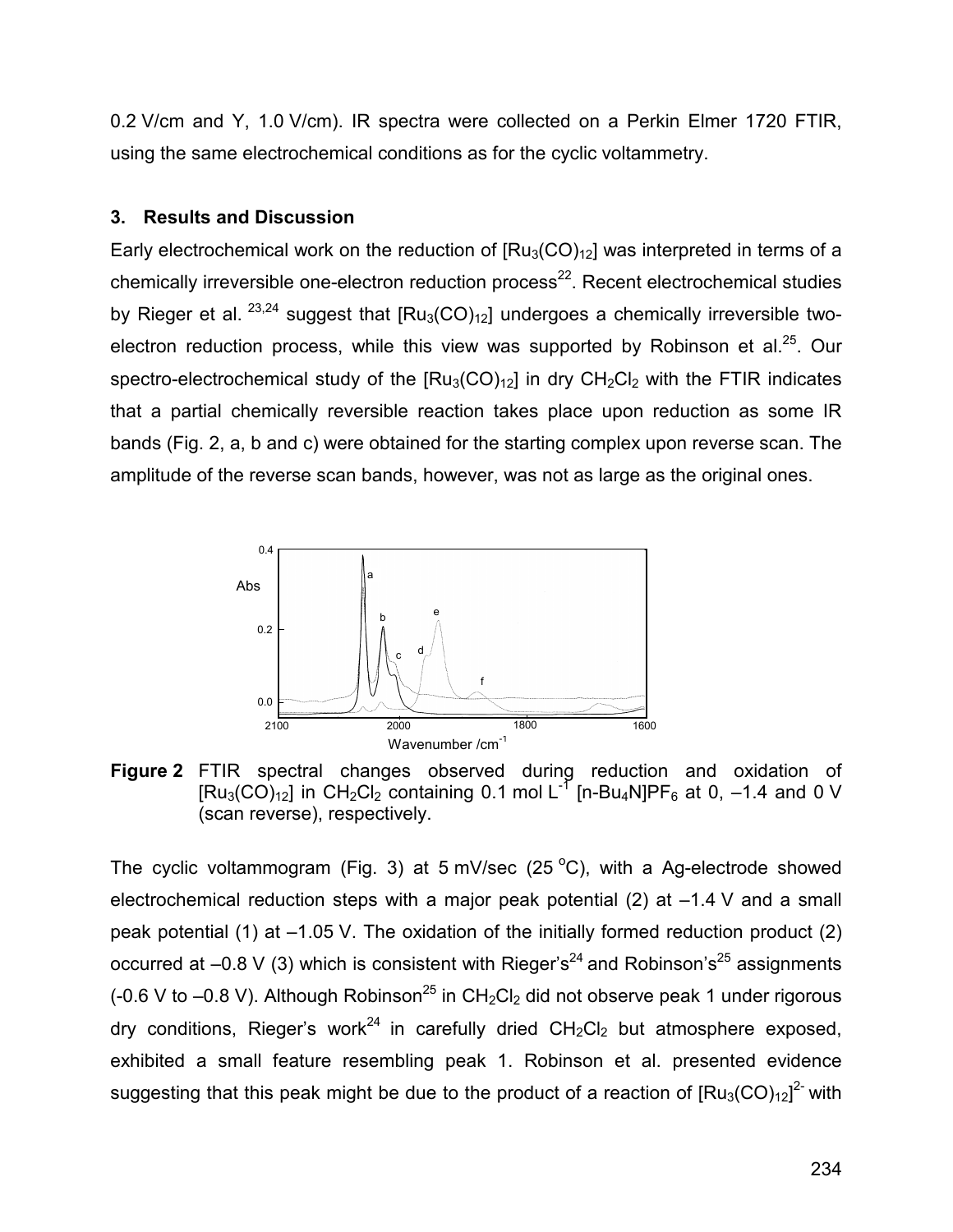0.2 V/cm and Y, 1.0 V/cm). IR spectra were collected on a Perkin Elmer 1720 FTIR, using the same electrochemical conditions as for the cyclic voltammetry.

## **3. Results and Discussion**

Early electrochemical work on the reduction of  $[Ru_3(CO)<sub>12</sub>]$  was interpreted in terms of a chemically irreversible one-electron reduction process<sup>22</sup>. Recent electrochemical studies by Rieger et al.  $^{23,24}$  suggest that  $[Ru_3(CO)<sub>12</sub>]$  undergoes a chemically irreversible twoelectron reduction process, while this view was supported by Robinson et al.<sup>25</sup>. Our spectro-electrochemical study of the  $[Ru_3(CO)<sub>12</sub>]$  in dry  $CH_2Cl_2$  with the FTIR indicates that a partial chemically reversible reaction takes place upon reduction as some IR bands (Fig. 2, a, b and c) were obtained for the starting complex upon reverse scan. The amplitude of the reverse scan bands, however, was not as large as the original ones.



**Figure 2** FTIR spectral changes observed during reduction and oxidation of  $[Ru_3(CO)_{12}]$  in CH<sub>2</sub>Cl<sub>2</sub> containing 0.1 mol L<sup>-7</sup> [n-Bu<sub>4</sub>N]PF<sub>6</sub> at 0, -1.4 and 0 V (scan reverse), respectively.

The cyclic voltammogram (Fig. 3) at 5 mV/sec (25  $^{\circ}$ C), with a Ag-electrode showed electrochemical reduction steps with a major peak potential  $(2)$  at  $-1.4$  V and a small peak potential (1) at  $-1.05$  V. The oxidation of the initially formed reduction product (2) occurred at  $-0.8$  V (3) which is consistent with Rieger's<sup>24</sup> and Robinson's<sup>25</sup> assignments (-0.6 V to  $-0.8$  V). Although Robinson<sup>25</sup> in CH<sub>2</sub>Cl<sub>2</sub> did not observe peak 1 under rigorous dry conditions, Rieger's work<sup>24</sup> in carefully dried  $CH_2Cl_2$  but atmosphere exposed, exhibited a small feature resembling peak 1. Robinson et al. presented evidence suggesting that this peak might be due to the product of a reaction of  $[Ru_3(CO)_{12}]^2$  with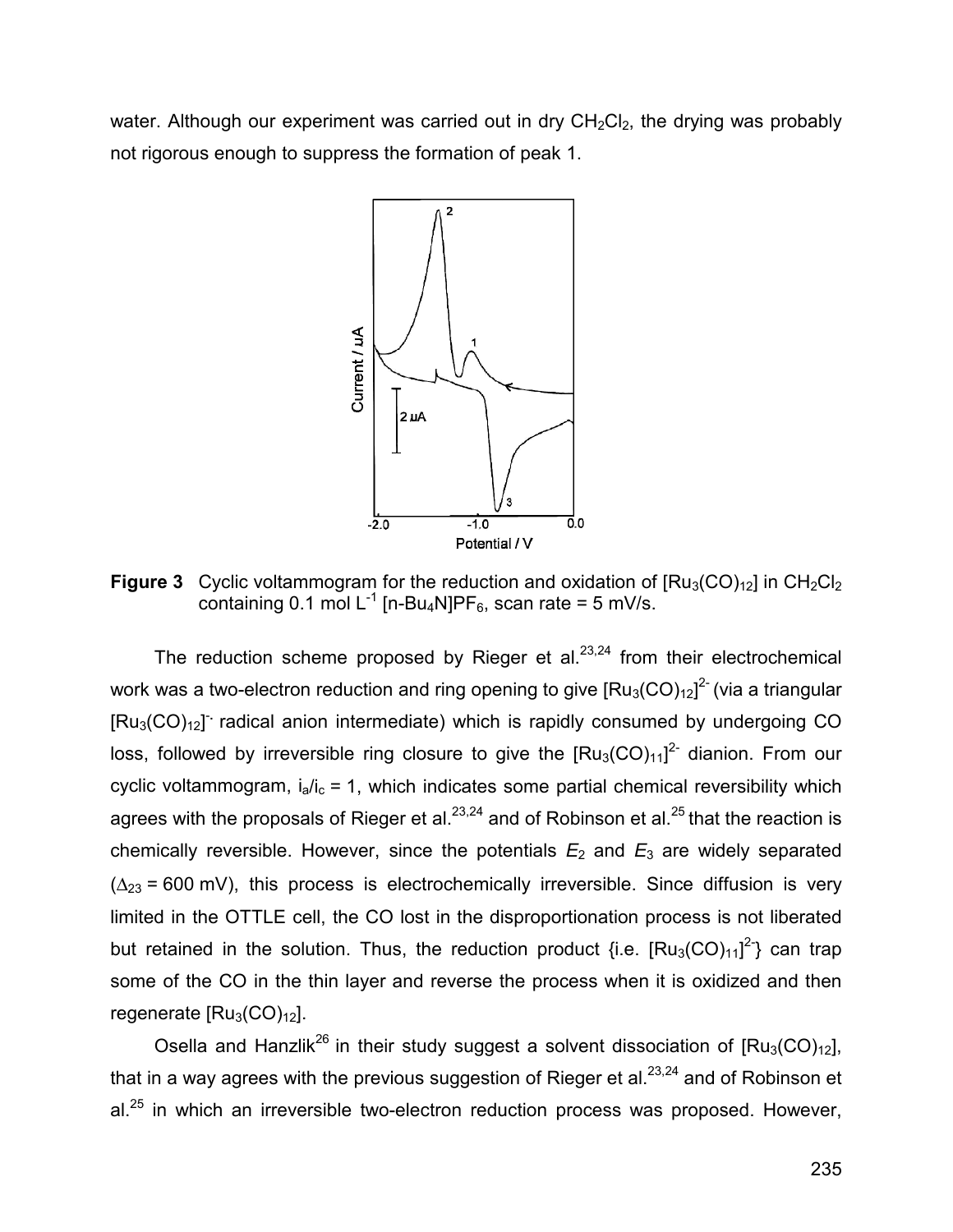water. Although our experiment was carried out in dry  $CH<sub>2</sub>Cl<sub>2</sub>$ , the drying was probably not rigorous enough to suppress the formation of peak 1.



**Figure 3** Cyclic voltammogram for the reduction and oxidation of  $[Ru_3(CO)<sub>12</sub>]$  in  $CH_2Cl_2$ containing 0.1 mol  $L^{-1}$  [n-Bu<sub>4</sub>N]PF<sub>6</sub>, scan rate = 5 mV/s.

The reduction scheme proposed by Rieger et al. $23,24$  from their electrochemical work was a two-electron reduction and ring opening to give  $\text{[Ru}_{3}(\text{CO})_{12}\text{]}^{\text{2-}}$  (via a triangular [Ru<sub>3</sub>(CO)<sub>12</sub>] radical anion intermediate) which is rapidly consumed by undergoing CO loss, followed by irreversible ring closure to give the  $[Ru_3(CO)_{11}]^2$  dianion. From our cyclic voltammogram,  $i_a/i_c = 1$ , which indicates some partial chemical reversibility which agrees with the proposals of Rieger et al.<sup>23,24</sup> and of Robinson et al.<sup>25</sup> that the reaction is chemically reversible. However, since the potentials  $E_2$  and  $E_3$  are widely separated  $(\Delta_{23} = 600 \text{ mV})$ , this process is electrochemically irreversible. Since diffusion is very limited in the OTTLE cell, the CO lost in the disproportionation process is not liberated but retained in the solution. Thus, the reduction product {i.e.  $[Ru_3(CO)_{11}]^2$ } can trap some of the CO in the thin layer and reverse the process when it is oxidized and then regenerate  $[Ru_3(CO)_{12}]$ .

Osella and Hanzlik<sup>26</sup> in their study suggest a solvent dissociation of  $[Ru_3(CO)<sub>12</sub>]$ , that in a way agrees with the previous suggestion of Rieger et al.<sup>23,24</sup> and of Robinson et al.<sup>25</sup> in which an irreversible two-electron reduction process was proposed. However,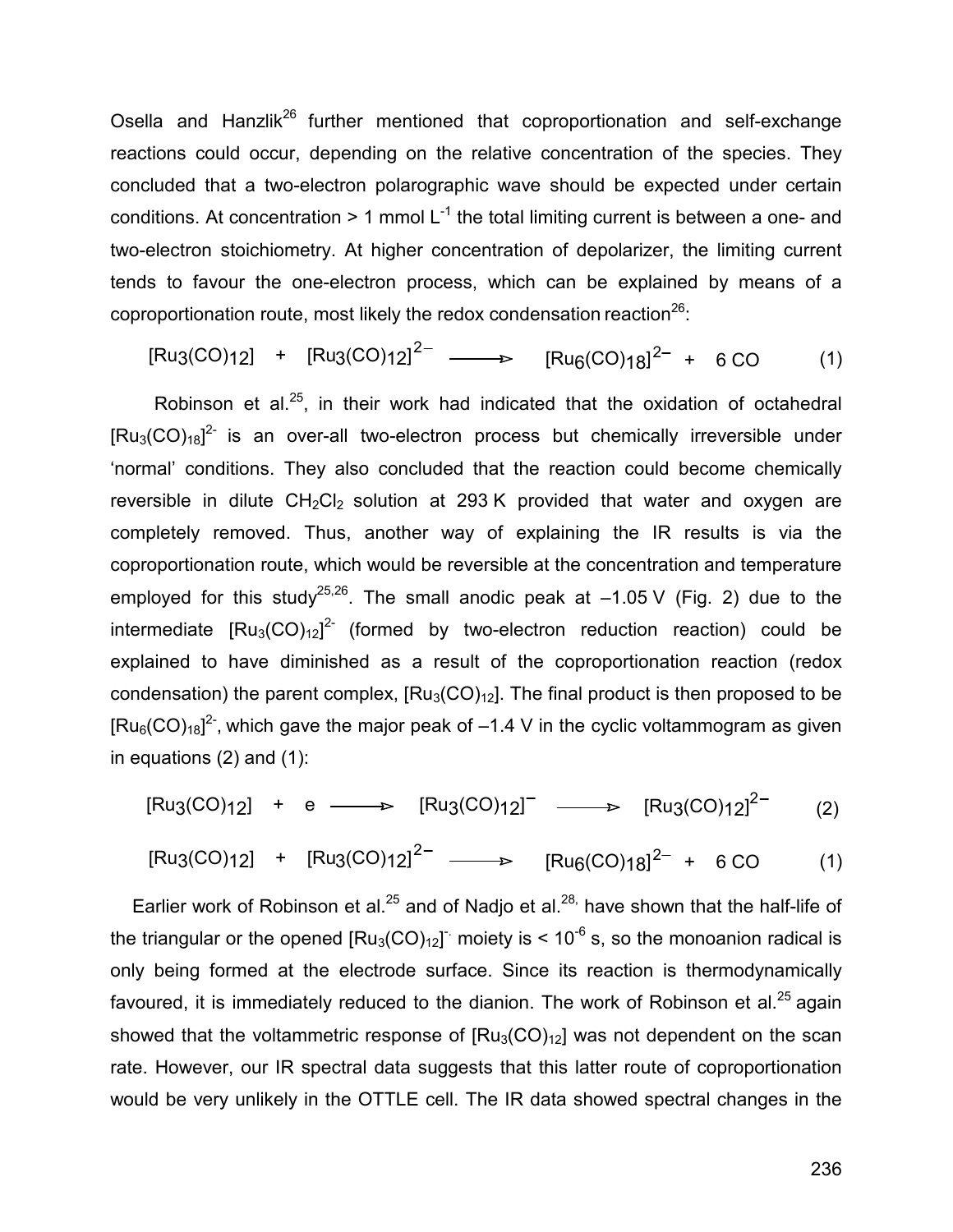Osella and Hanzlik<sup>26</sup> further mentioned that coproportionation and self-exchange reactions could occur, depending on the relative concentration of the species. They concluded that a two-electron polarographic wave should be expected under certain conditions. At concentration  $> 1$  mmol L<sup>-1</sup> the total limiting current is between a one- and two-electron stoichiometry. At higher concentration of depolarizer, the limiting current tends to favour the one-electron process, which can be explained by means of a coproportionation route, most likely the redox condensation reaction $^{26}$ :

 $[Ru_3(CO)_{12}]$  +  $[Ru_3(CO)_{12}]^{2-}$   $\longrightarrow$   $[Ru_6(CO)_{18}]^{2-}$  + 6 CO (1)

Robinson et al.<sup>25</sup>, in their work had indicated that the oxidation of octahedral  $\left[\text{Ru}_{3}(\text{CO})_{18}\right]^{2}$  is an over-all two-electron process but chemically irreversible under 'normal' conditions. They also concluded that the reaction could become chemically reversible in dilute  $CH_2Cl_2$  solution at 293 K provided that water and oxygen are completely removed. Thus, another way of explaining the IR results is via the coproportionation route, which would be reversible at the concentration and temperature employed for this study<sup>25,26</sup>. The small anodic peak at  $-1.05$  V (Fig. 2) due to the intermediate  $[Ru_3(CO)_{12}]^{2}$  (formed by two-electron reduction reaction) could be explained to have diminished as a result of the coproportionation reaction (redox condensation) the parent complex,  $[Ru_3(CO)<sub>12</sub>]$ . The final product is then proposed to be [Ru<sub>6</sub>(CO)<sub>18</sub>]<sup>2-</sup>, which gave the major peak of  $-1.4$  V in the cyclic voltammogram as given in equations (2) and (1):

 $\text{[Ru3(CO)12]}$  + e  $\longrightarrow$   $\text{[Ru3(CO)12]}^{\text{T}}$   $\longrightarrow$   $\text{[Ru3(CO)12]}^{\text{2-}}$  (2)

 $[Ru_3(CO)_{12}]$  +  $[Ru_3(CO)_{12}]^{2-}$   $\longrightarrow$   $[Ru_6(CO)_{18}]^{2-}$  + 6 CO (1)

Earlier work of Robinson et al.<sup>25</sup> and of Nadjo et al.<sup>28,</sup> have shown that the half-life of the triangular or the opened  $\text{[Ru}_{3}(\text{CO})_{12}]$  moiety is < 10<sup>-6</sup> s, so the monoanion radical is only being formed at the electrode surface. Since its reaction is thermodynamically favoured, it is immediately reduced to the dianion. The work of Robinson et al.<sup>25</sup> again showed that the voltammetric response of  $[Ru_3(CO)<sub>12</sub>]$  was not dependent on the scan rate. However, our IR spectral data suggests that this latter route of coproportionation would be very unlikely in the OTTLE cell. The IR data showed spectral changes in the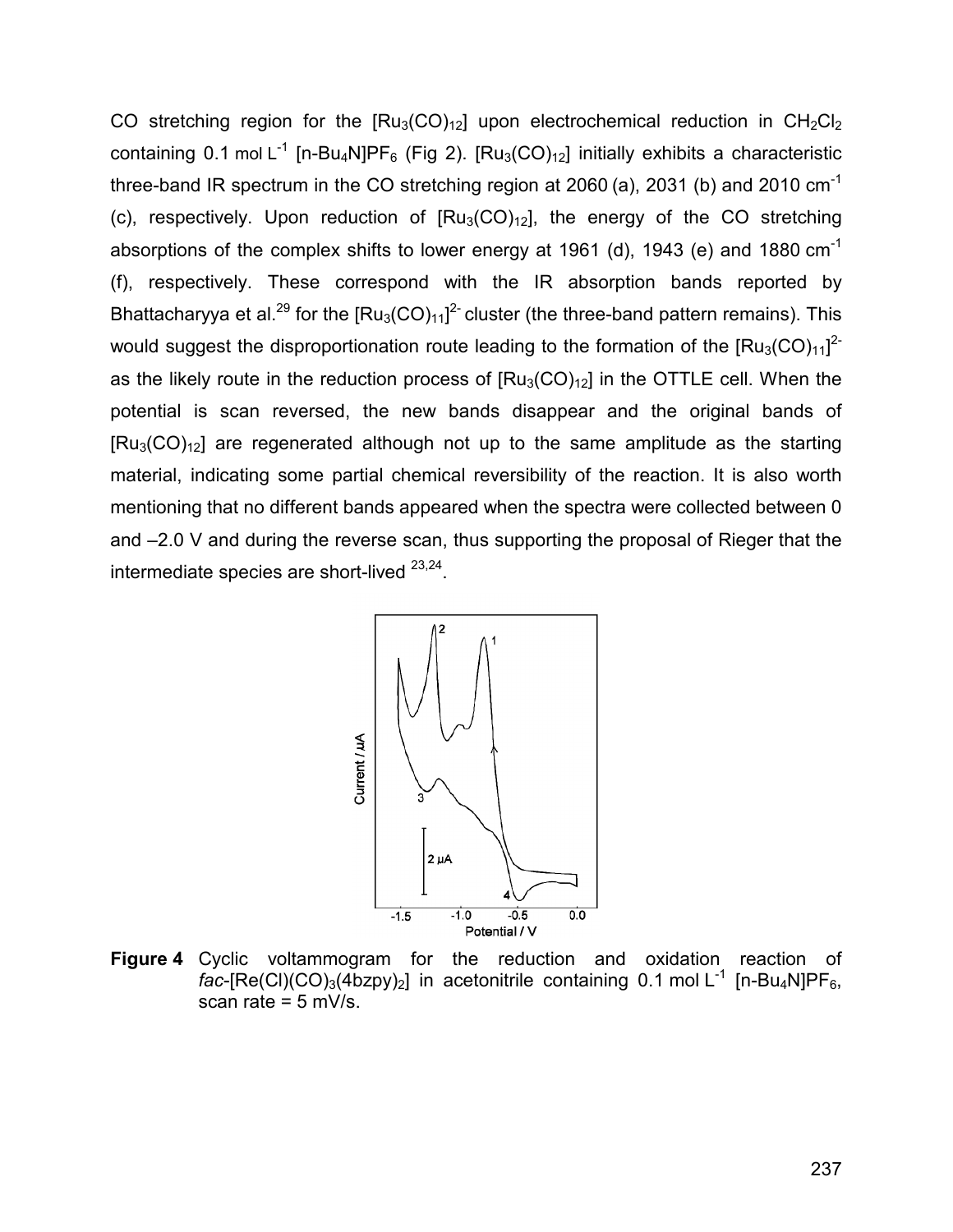CO stretching region for the  $[Ru_3(CO)<sub>12</sub>]$  upon electrochemical reduction in  $CH_2Cl_2$ containing 0.1 mol L<sup>-1</sup> [n-Bu<sub>4</sub>N]PF<sub>6</sub> (Fig 2). [Ru<sub>3</sub>(CO)<sub>12</sub>] initially exhibits a characteristic three-band IR spectrum in the CO stretching region at 2060 (a), 2031 (b) and 2010  $cm^{-1}$ (c), respectively. Upon reduction of  $[Ru_3(CO)<sub>12</sub>]$ , the energy of the CO stretching absorptions of the complex shifts to lower energy at 1961 (d), 1943 (e) and 1880  $cm^{-1}$ (f), respectively. These correspond with the IR absorption bands reported by Bhattacharyya et al.<sup>29</sup> for the  $\text{[Ru}_{3}(\text{CO})_{11}]^{2}$  cluster (the three-band pattern remains). This would suggest the disproportionation route leading to the formation of the  $\text{[Ru}_{3}(\text{CO})_{11}]^{2}$ as the likely route in the reduction process of  $[Ru_3(CO)<sub>12</sub>]$  in the OTTLE cell. When the potential is scan reversed, the new bands disappear and the original bands of  $[Ru_3(CO)<sub>12</sub>]$  are regenerated although not up to the same amplitude as the starting material, indicating some partial chemical reversibility of the reaction. It is also worth mentioning that no different bands appeared when the spectra were collected between 0 and –2.0 V and during the reverse scan, thus supporting the proposal of Rieger that the intermediate species are short-lived 23,24.



**Figure 4** Cyclic voltammogram for the reduction and oxidation reaction of *fac*-[Re(Cl)(CO)<sub>3</sub>(4bzpy)<sub>2</sub>] in acetonitrile containing 0.1 mol L<sup>-1</sup> [n-Bu<sub>4</sub>N]PF<sub>6</sub>, scan rate =  $5$  mV/s.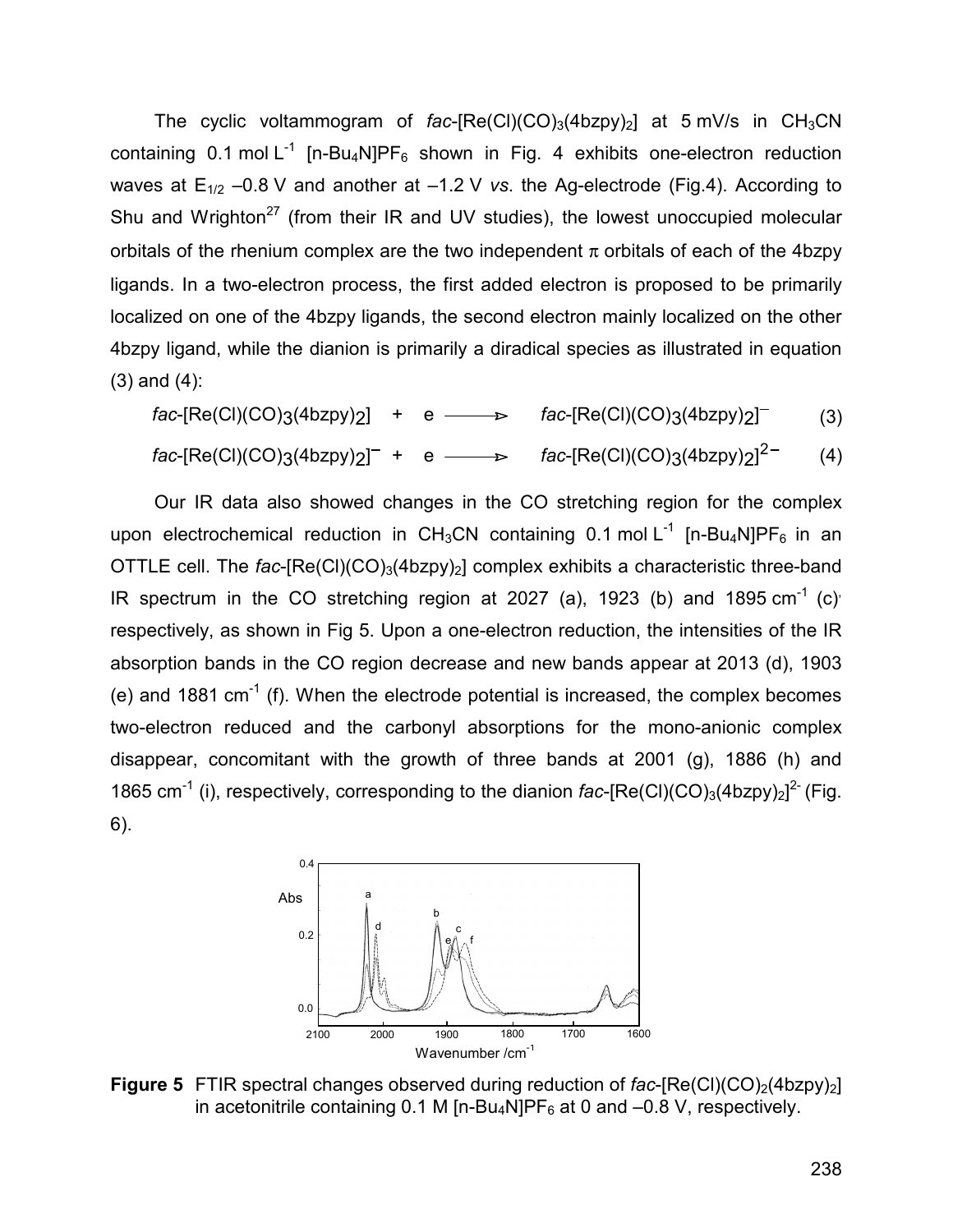The cyclic voltammogram of  $fac$ -[Re(Cl)(CO)<sub>3</sub>(4bzpy)<sub>2</sub>] at 5 mV/s in CH<sub>3</sub>CN containing 0.1 mol  $L^{-1}$  [n-Bu<sub>4</sub>N]PF<sub>6</sub> shown in Fig. 4 exhibits one-electron reduction waves at  $E_{1/2}$  –0.8 V and another at –1.2 V *vs*. the Ag-electrode (Fig.4). According to Shu and Wrighton<sup>27</sup> (from their IR and UV studies), the lowest unoccupied molecular orbitals of the rhenium complex are the two independent  $\pi$  orbitals of each of the 4bzpy ligands. In a two-electron process, the first added electron is proposed to be primarily localized on one of the 4bzpy ligands, the second electron mainly localized on the other 4bzpy ligand, while the dianion is primarily a diradical species as illustrated in equation (3) and (4):

*fac*-[Re(Cl)(CO)3(4bzpy)2] + e  $\rightarrow$  *fac*-[Re(Cl)(CO)3(4bzpy)2]<sup>-</sup> (3) *fac*-[Re(Cl)(CO)3(4bzpy)<sub>2</sub>]<sup>-</sup> + e  $\longrightarrow$  *fac*-[Re(Cl)(CO)3(4bzpy)<sub>2</sub>]<sup>2-</sup> (4)

Our IR data also showed changes in the CO stretching region for the complex upon electrochemical reduction in CH<sub>3</sub>CN containing 0.1 mol L<sup>-1</sup> [n-Bu<sub>4</sub>N]PF<sub>6</sub> in an OTTLE cell. The *fac*-[Re(Cl)(CO)<sub>3</sub>(4bzpy)<sub>2</sub>] complex exhibits a characteristic three-band IR spectrum in the CO stretching region at 2027 (a), 1923 (b) and 1895  $cm^{-1}$  (c) respectively, as shown in Fig 5. Upon a one-electron reduction, the intensities of the IR absorption bands in the CO region decrease and new bands appear at 2013 (d), 1903 (e) and 1881  $cm^{-1}$  (f). When the electrode potential is increased, the complex becomes two-electron reduced and the carbonyl absorptions for the mono-anionic complex disappear, concomitant with the growth of three bands at 2001 (g), 1886 (h) and 1865 cm<sup>-1</sup> (i), respectively, corresponding to the dianion  $fac$ -[Re(Cl)(CO)<sub>3</sub>(4bzpy)<sub>2</sub>]<sup>2-</sup> (Fig. 6).



**Figure 5** FTIR spectral changes observed during reduction of fac-[Re(Cl)(CO)<sub>2</sub>(4bzpy)<sub>2</sub>] in acetonitrile containing 0.1 M [n-Bu<sub>4</sub>N]PF<sub>6</sub> at 0 and  $-0.8$  V, respectively.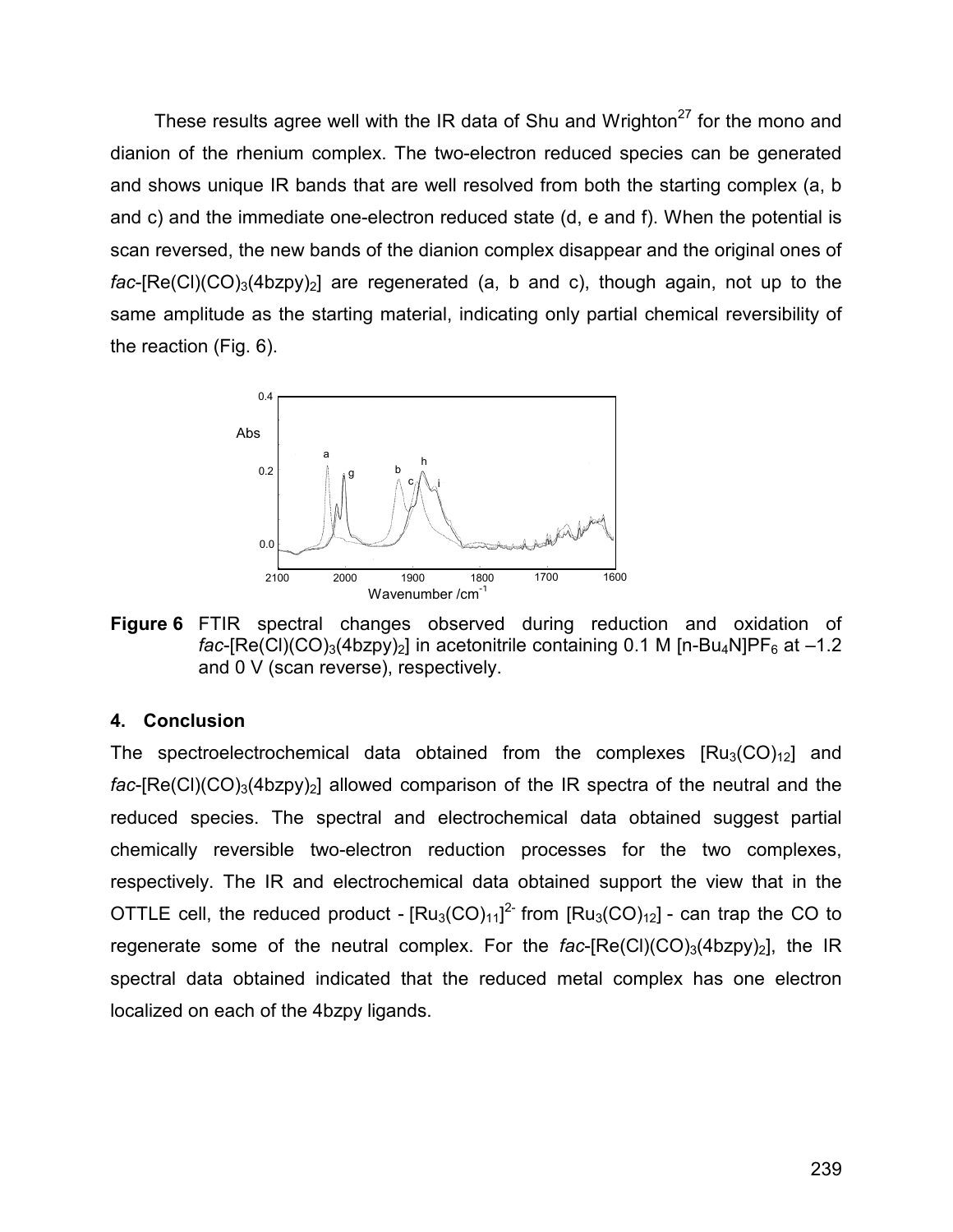These results agree well with the IR data of Shu and Wrighton<sup>27</sup> for the mono and dianion of the rhenium complex. The two-electron reduced species can be generated and shows unique IR bands that are well resolved from both the starting complex (a, b and c) and the immediate one-electron reduced state (d, e and f). When the potential is scan reversed, the new bands of the dianion complex disappear and the original ones of  $fac$ -[Re(Cl)(CO)<sub>3</sub>(4bzpy)<sub>2</sub>] are regenerated (a, b and c), though again, not up to the same amplitude as the starting material, indicating only partial chemical reversibility of the reaction (Fig. 6).



**Figure 6** FTIR spectral changes observed during reduction and oxidation of *fac*-[Re(Cl)(CO)<sub>3</sub>(4bzpy)<sub>2</sub>] in acetonitrile containing 0.1 M [n-Bu<sub>4</sub>N]PF<sub>6</sub> at -1.2 and 0 V (scan reverse), respectively.

## **4. Conclusion**

The spectroelectrochemical data obtained from the complexes  $[Ru_3(CO)<sub>12</sub>]$  and  $fac$ -[Re(Cl)(CO)<sub>3</sub>(4bzpy)<sub>2</sub>] allowed comparison of the IR spectra of the neutral and the reduced species. The spectral and electrochemical data obtained suggest partial chemically reversible two-electron reduction processes for the two complexes, respectively. The IR and electrochemical data obtained support the view that in the OTTLE cell, the reduced product -  $[Ru_3(CO)_{11}]^2$  from  $[Ru_3(CO)_{12}]$  - can trap the CO to regenerate some of the neutral complex. For the  $fac$ - $[Re(Cl)(CO)<sub>3</sub>(4bzpy)<sub>2</sub>]$ , the  $IR$ spectral data obtained indicated that the reduced metal complex has one electron localized on each of the 4bzpy ligands.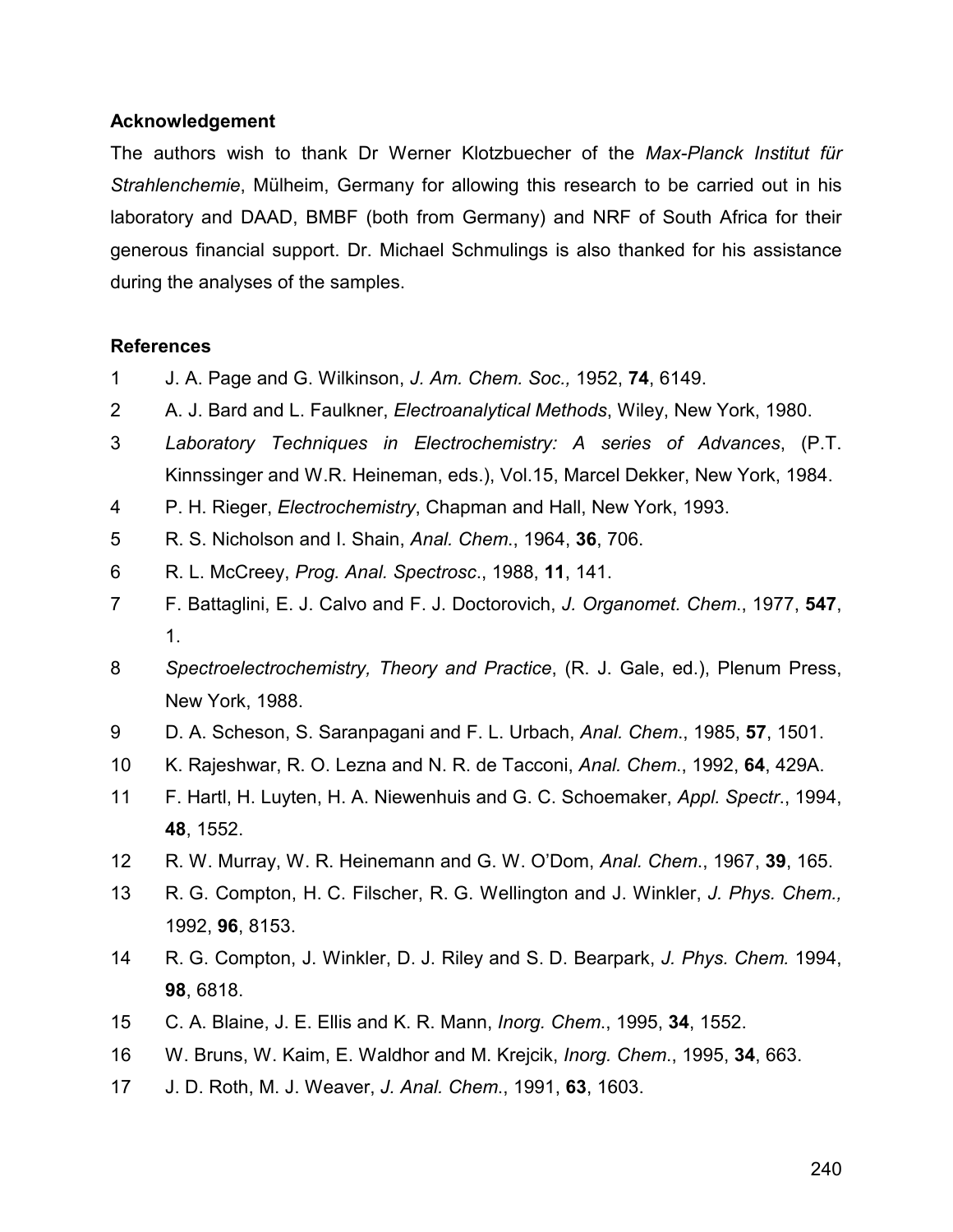## **Acknowledgement**

The authors wish to thank Dr Werner Klotzbuecher of the *Max-Planck Institut für Strahlenchemie*, Mülheim, Germany for allowing this research to be carried out in his laboratory and DAAD, BMBF (both from Germany) and NRF of South Africa for their generous financial support. Dr. Michael Schmulings is also thanked for his assistance during the analyses of the samples.

## **References**

- 1 J. A. Page and G. Wilkinson, *J. Am. Chem. Soc.,* 1952, **74**, 6149.
- 2 A. J. Bard and L. Faulkner, *Electroanalytical Methods*, Wiley, New York, 1980.
- 3 *Laboratory Techniques in Electrochemistry: A series of Advances*, (P.T. Kinnssinger and W.R. Heineman, eds.), Vol.15, Marcel Dekker, New York, 1984.
- 4 P. H. Rieger, *Electrochemistry*, Chapman and Hall, New York, 1993.
- 5 R. S. Nicholson and I. Shain, *Anal. Chem*., 1964, **36**, 706.
- 6 R. L. McCreey, *Prog. Anal. Spectrosc*., 1988, **11**, 141.
- 7 F. Battaglini, E. J. Calvo and F. J. Doctorovich, *J. Organomet. Chem*., 1977, **547**, 1.
- 8 *Spectroelectrochemistry, Theory and Practice*, (R. J. Gale, ed.), Plenum Press, New York, 1988.
- 9 D. A. Scheson, S. Saranpagani and F. L. Urbach, *Anal. Chem*., 1985, **57**, 1501.
- 10 K. Rajeshwar, R. O. Lezna and N. R. de Tacconi, *Anal. Chem*., 1992, **64**, 429A.
- 11 F. Hartl, H. Luyten, H. A. Niewenhuis and G. C. Schoemaker, *Appl. Spectr*., 1994, **48**, 1552.
- 12 R. W. Murray, W. R. Heinemann and G. W. O'Dom, *Anal. Chem*., 1967, **39**, 165.
- 13 R. G. Compton, H. C. Filscher, R. G. Wellington and J. Winkler, *J. Phys. Chem.,*  1992, **96**, 8153.
- 14 R. G. Compton, J. Winkler, D. J. Riley and S. D. Bearpark, *J. Phys. Chem.* 1994, **98**, 6818.
- 15 C. A. Blaine, J. E. Ellis and K. R. Mann, *Inorg. Chem*., 1995, **34**, 1552.
- 16 W. Bruns, W. Kaim, E. Waldhor and M. Krejcik, *Inorg. Chem*., 1995, **34**, 663.
- 17 J. D. Roth, M. J. Weaver, *J. Anal. Chem*., 1991, **63**, 1603.